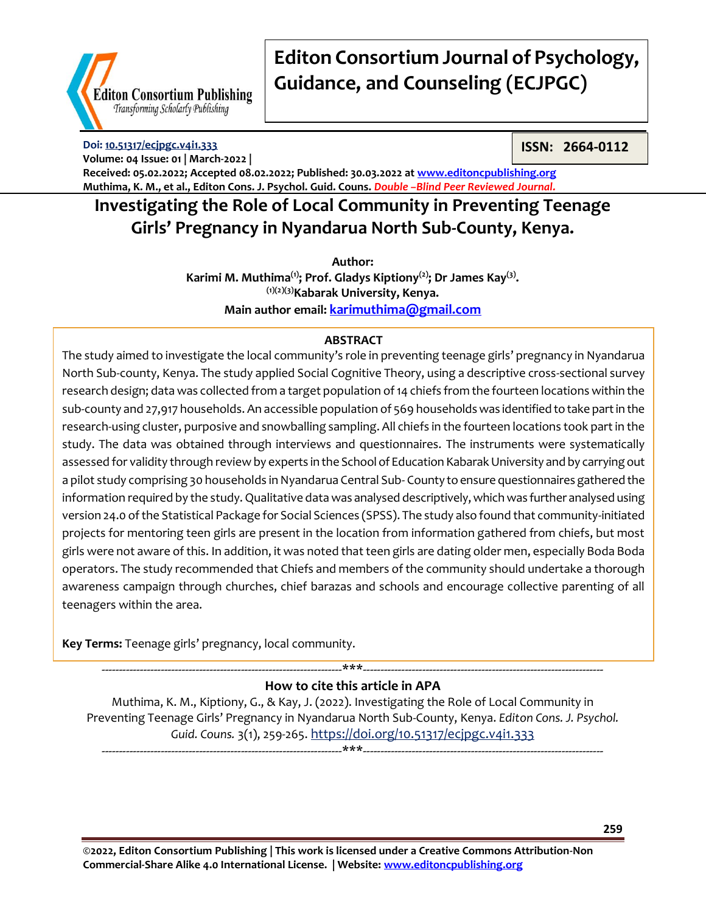

**Doi: [10.51317/ecjpgc.v4i1.333](https://doi.org/10.51317/ecjpgc.v4i1.333) Volume: 04 Issue: 01 | March-2022 |** **ISSN: 2664-0112**

**Received: 05.02.2022; Accepted 08.02.2022; Published: 30.03.2022 at [www.editoncpublishing.org](http://www.editoncpublishing.org/) Muthima, K. M., et al., Editon Cons. J. Psychol. Guid. Couns.** *Double –Blind Peer Reviewed Journal.*

## **Investigating the Role of Local Community in Preventing Teenage Girls' Pregnancy in Nyandarua North Sub-County, Kenya.**

**Author:**

**Karimi M. Muthima(1); Prof. Gladys Kiptiony(2); Dr James Kay(3) . (1)(2)(3)Kabarak University, Kenya. Main author email: [karimuthima@gmail.com](mailto:karimuthima@gmail.com)**

## **ABSTRACT**

The study aimed to investigate the local community's role in preventing teenage girls' pregnancy in Nyandarua North Sub-county, Kenya. The study applied Social Cognitive Theory, using a descriptive cross-sectional survey research design; data was collected from a target population of 14 chiefs from the fourteen locations within the sub-county and 27,917 households. An accessible population of 569 households was identified to take part in the research-using cluster, purposive and snowballing sampling. All chiefs in the fourteen locations took part in the study. The data was obtained through interviews and questionnaires. The instruments were systematically assessed for validity through review by experts in the School of Education Kabarak University and by carrying out a pilot study comprising 30 households in Nyandarua Central Sub- County to ensure questionnaires gathered the information required by the study. Qualitative data was analysed descriptively, which was further analysed using version 24.0 of the Statistical Package for Social Sciences (SPSS). The study also found that community-initiated projects for mentoring teen girls are present in the location from information gathered from chiefs, but most girls were not aware of this. In addition, it was noted that teen girls are dating older men, especially Boda Boda operators. The study recommended that Chiefs and members of the community should undertake a thorough awareness campaign through churches, chief barazas and schools and encourage collective parenting of all teenagers within the area.

**Key Terms:** Teenage girls' pregnancy, local community.

### ---------------------------------------------------------------------\*\*\*--------------------------------------------------------------------- **How to cite this article in APA**

Muthima, K. M., Kiptiony, G., & Kay, J. (2022). Investigating the Role of Local Community in Preventing Teenage Girls' Pregnancy in Nyandarua North Sub-County, Kenya. *Editon Cons. J. Psychol. Guid. Couns.* 3(1), 259-265. <https://doi.org/10.51317/ecjpgc.v4i1.333> ---------------------------------------------------------------------\*\*\*---------------------------------------------------------------------

**©2022, Editon Consortium Publishing | This work is licensed under a Creative Commons Attribution-Non Commercial-Share Alike 4.0 International License. | Website: [www.editoncpublishing.org](http://www.editoncpublishing.org/)**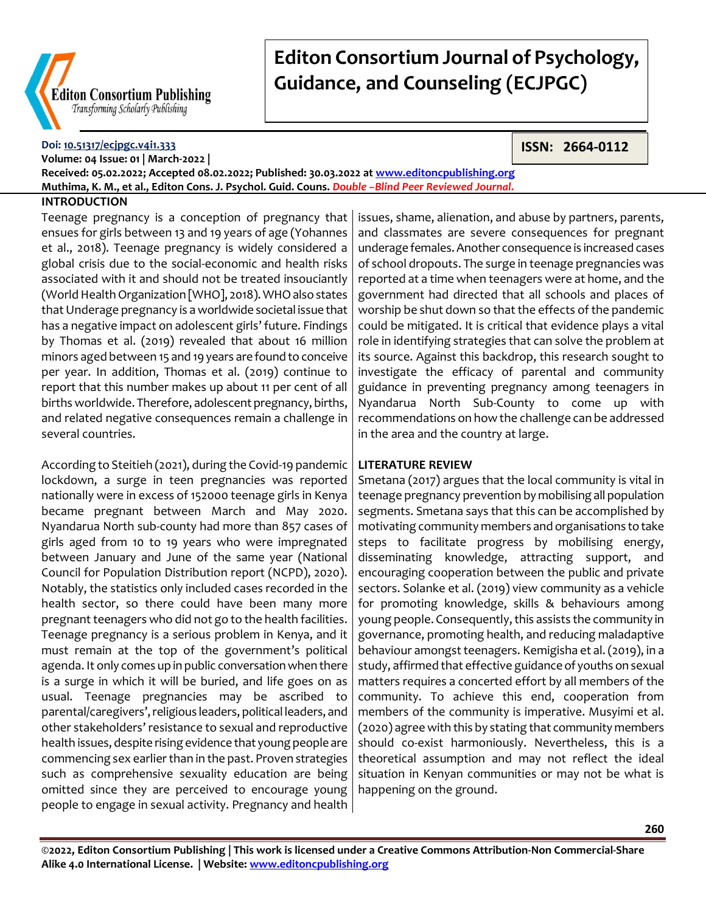

### **Doi: [10.51317/ecjpgc.v4i1.333](https://doi.org/10.51317/ecjpgc.v4i1.333)**

**ISSN: 2664-0112**

**Volume: 04 Issue: 01 | March-2022 | Received: 05.02.2022; Accepted 08.02.2022; Published: 30.03.2022 at [www.editoncpublishing.org](http://www.editoncpublishing.org/) Muthima, K. M., et al., Editon Cons. J. Psychol. Guid. Couns.** *Double –Blind Peer Reviewed Journal.*

### **INTRODUCTION**

Teenage pregnancy is a conception of pregnancy that ensues for girls between 13 and 19 years of age (Yohannes et al., 2018). Teenage pregnancy is widely considered a global crisis due to the social-economic and health risks associated with it and should not be treated insouciantly (World Health Organization [WHO], 2018). WHO also states that Underage pregnancy is a worldwide societal issue that has a negative impact on adolescent girls' future. Findings by Thomas et al. (2019) revealed that about 16 million minors aged between 15 and 19 years are found to conceive per year. In addition, Thomas et al. (2019) continue to report that this number makes up about 11 per cent of all births worldwide. Therefore, adolescent pregnancy, births, and related negative consequences remain a challenge in several countries.

According to Steitieh (2021), during the Covid-19 pandemic lockdown, a surge in teen pregnancies was reported nationally were in excess of 152000 teenage girls in Kenya became pregnant between March and May 2020. Nyandarua North sub-county had more than 857 cases of girls aged from 10 to 19 years who were impregnated between January and June of the same year (National Council for Population Distribution report (NCPD), 2020). Notably, the statistics only included cases recorded in the health sector, so there could have been many more pregnant teenagers who did not go to the health facilities. Teenage pregnancy is a serious problem in Kenya, and it must remain at the top of the government's political agenda. It only comes up in public conversation when there is a surge in which it will be buried, and life goes on as usual. Teenage pregnancies may be ascribed to parental/caregivers', religious leaders, political leaders, and other stakeholders' resistance to sexual and reproductive health issues, despite rising evidence that young people are commencing sex earlier than in the past. Proven strategies such as comprehensive sexuality education are being omitted since they are perceived to encourage young people to engage in sexual activity. Pregnancy and health

issues, shame, alienation, and abuse by partners, parents, and classmates are severe consequences for pregnant underage females. Another consequence is increased cases of school dropouts. The surge in teenage pregnancies was reported at a time when teenagers were at home, and the government had directed that all schools and places of worship be shut down so that the effects of the pandemic could be mitigated. It is critical that evidence plays a vital role in identifying strategies that can solve the problem at its source. Against this backdrop, this research sought to investigate the efficacy of parental and community guidance in preventing pregnancy among teenagers in Nyandarua North Sub-County to come up with recommendations on how the challenge can be addressed in the area and the country at large.

### **LITERATURE REVIEW**

Smetana (2017) argues that the local community is vital in teenage pregnancy prevention by mobilising all population segments. Smetana says that this can be accomplished by motivating community members and organisations to take steps to facilitate progress by mobilising energy, disseminating knowledge, attracting support, and encouraging cooperation between the public and private sectors. Solanke et al. (2019) view community as a vehicle for promoting knowledge, skills & behaviours among young people. Consequently, this assists the community in governance, promoting health, and reducing maladaptive behaviour amongst teenagers. Kemigisha et al. (2019), in a study, affirmed that effective guidance of youths on sexual matters requires a concerted effort by all members of the community. To achieve this end, cooperation from members of the community is imperative. Musyimi et al. (2020) agree with this by stating that community members should co-exist harmoniously. Nevertheless, this is a theoretical assumption and may not reflect the ideal situation in Kenyan communities or may not be what is happening on the ground.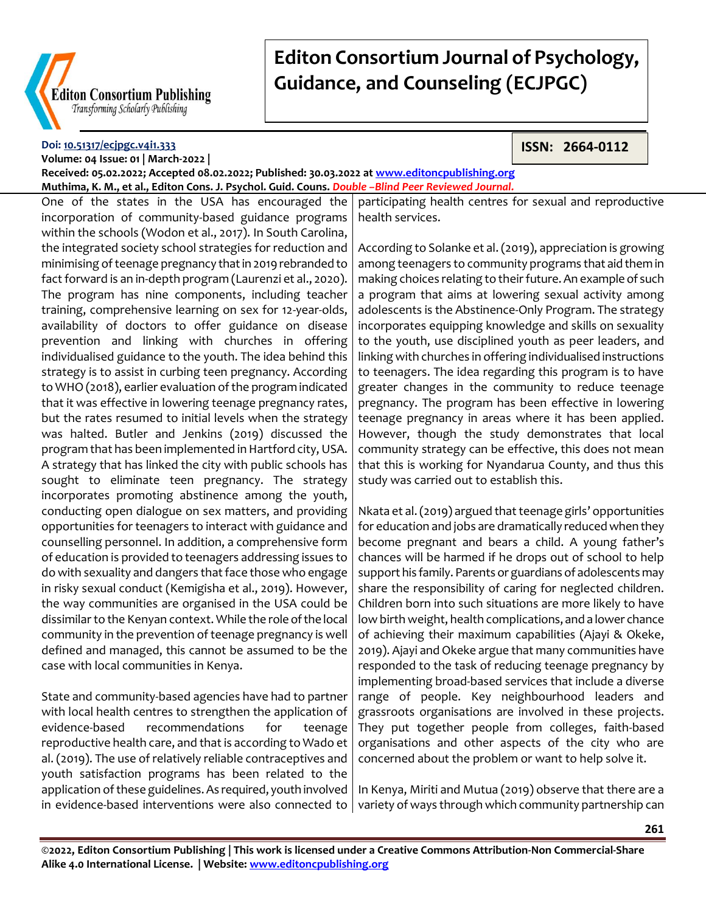

#### **Doi: [10.51317/ecjpgc.v4i1.333](https://doi.org/10.51317/ecjpgc.v4i1.333) Volume: 04 Issue: 01 | March-2022 |**

**ISSN: 2664-0112**

**Received: 05.02.2022; Accepted 08.02.2022; Published: 30.03.2022 at [www.editoncpublishing.org](http://www.editoncpublishing.org/) Muthima, K. M., et al., Editon Cons. J. Psychol. Guid. Couns.** *Double –Blind Peer Reviewed Journal.*

One of the states in the USA has encouraged the incorporation of community-based guidance programs within the schools (Wodon et al., 2017). In South Carolina, the integrated society school strategies for reduction and minimising of teenage pregnancy that in 2019 rebranded to fact forward is an in-depth program (Laurenzi et al., 2020). The program has nine components, including teacher training, comprehensive learning on sex for 12-year-olds, availability of doctors to offer guidance on disease prevention and linking with churches in offering individualised guidance to the youth. The idea behind this strategy is to assist in curbing teen pregnancy. According to WHO (2018), earlier evaluation of the program indicated that it was effective in lowering teenage pregnancy rates, but the rates resumed to initial levels when the strategy was halted. Butler and Jenkins (2019) discussed the program that has been implemented in Hartford city, USA. A strategy that has linked the city with public schools has sought to eliminate teen pregnancy. The strategy incorporates promoting abstinence among the youth, conducting open dialogue on sex matters, and providing opportunities for teenagers to interact with guidance and counselling personnel. In addition, a comprehensive form of education is provided to teenagers addressing issues to do with sexuality and dangers that face those who engage in risky sexual conduct (Kemigisha et al., 2019). However, the way communities are organised in the USA could be dissimilar to the Kenyan context. While the role of the local community in the prevention of teenage pregnancy is well defined and managed, this cannot be assumed to be the case with local communities in Kenya.

State and community-based agencies have had to partner with local health centres to strengthen the application of evidence-based recommendations for teenage reproductive health care, and that is according to Wado et al. (2019). The use of relatively reliable contraceptives and youth satisfaction programs has been related to the application of these guidelines. As required, youth involved in evidence-based interventions were also connected to

participating health centres for sexual and reproductive health services.

According to Solanke et al. (2019), appreciation is growing among teenagers to community programs that aid them in making choices relating to their future. An example of such a program that aims at lowering sexual activity among adolescents is the Abstinence-Only Program. The strategy incorporates equipping knowledge and skills on sexuality to the youth, use disciplined youth as peer leaders, and linking with churches in offering individualised instructions to teenagers. The idea regarding this program is to have greater changes in the community to reduce teenage pregnancy. The program has been effective in lowering teenage pregnancy in areas where it has been applied. However, though the study demonstrates that local community strategy can be effective, this does not mean that this is working for Nyandarua County, and thus this study was carried out to establish this.

Nkata et al. (2019) argued that teenage girls' opportunities for education and jobs are dramatically reduced when they become pregnant and bears a child. A young father's chances will be harmed if he drops out of school to help support his family. Parents or guardians of adolescents may share the responsibility of caring for neglected children. Children born into such situations are more likely to have low birth weight, health complications, and a lower chance of achieving their maximum capabilities (Ajayi & Okeke, 2019). Ajayi and Okeke argue that many communities have responded to the task of reducing teenage pregnancy by implementing broad-based services that include a diverse range of people. Key neighbourhood leaders and grassroots organisations are involved in these projects. They put together people from colleges, faith-based organisations and other aspects of the city who are concerned about the problem or want to help solve it.

In Kenya, Miriti and Mutua (2019) observe that there are a variety of ways through which community partnership can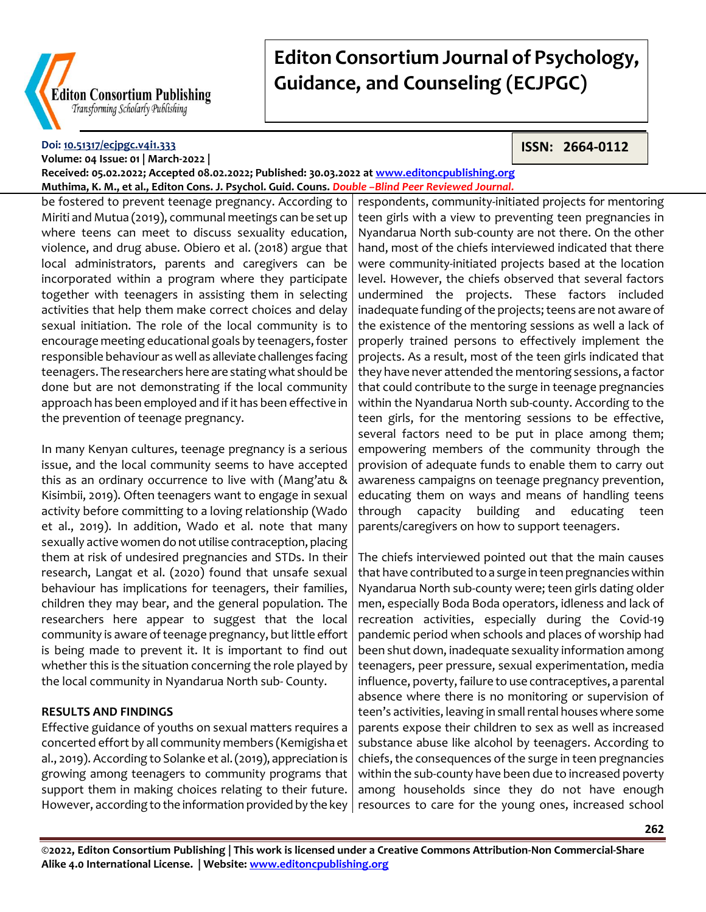

#### **Doi: [10.51317/ecjpgc.v4i1.333](https://doi.org/10.51317/ecjpgc.v4i1.333) Volume: 04 Issue: 01 | March-2022 |**

## **ISSN: 2664-0112**

**Received: 05.02.2022; Accepted 08.02.2022; Published: 30.03.2022 at [www.editoncpublishing.org](http://www.editoncpublishing.org/)**

**Muthima, K. M., et al., Editon Cons. J. Psychol. Guid. Couns.** *Double –Blind Peer Reviewed Journal.* be fostered to prevent teenage pregnancy. According to Miriti and Mutua (2019), communal meetings can be set up where teens can meet to discuss sexuality education, violence, and drug abuse. Obiero et al. (2018) argue that local administrators, parents and caregivers can be incorporated within a program where they participate together with teenagers in assisting them in selecting activities that help them make correct choices and delay sexual initiation. The role of the local community is to encourage meeting educational goals by teenagers, foster responsible behaviour as well as alleviate challenges facing teenagers. The researchers here are stating what should be done but are not demonstrating if the local community approach has been employed and if it has been effective in the prevention of teenage pregnancy.

In many Kenyan cultures, teenage pregnancy is a serious issue, and the local community seems to have accepted this as an ordinary occurrence to live with (Mang'atu & Kisimbii, 2019). Often teenagers want to engage in sexual activity before committing to a loving relationship (Wado et al., 2019). In addition, Wado et al. note that many sexually active women do not utilise contraception, placing them at risk of undesired pregnancies and STDs. In their research, Langat et al. (2020) found that unsafe sexual behaviour has implications for teenagers, their families, children they may bear, and the general population. The researchers here appear to suggest that the local community is aware of teenage pregnancy, but little effort is being made to prevent it. It is important to find out whether this is the situation concerning the role played by the local community in Nyandarua North sub- County.

## **RESULTS AND FINDINGS**

Effective guidance of youths on sexual matters requires a concerted effort by all community members (Kemigisha et al., 2019). According to Solanke et al. (2019), appreciation is growing among teenagers to community programs that support them in making choices relating to their future. However, according to the information provided by the key

respondents, community-initiated projects for mentoring teen girls with a view to preventing teen pregnancies in Nyandarua North sub-county are not there. On the other hand, most of the chiefs interviewed indicated that there were community-initiated projects based at the location level. However, the chiefs observed that several factors undermined the projects. These factors included inadequate funding of the projects; teens are not aware of the existence of the mentoring sessions as well a lack of properly trained persons to effectively implement the projects. As a result, most of the teen girls indicated that they have never attended the mentoring sessions, a factor that could contribute to the surge in teenage pregnancies within the Nyandarua North sub-county. According to the teen girls, for the mentoring sessions to be effective, several factors need to be put in place among them; empowering members of the community through the provision of adequate funds to enable them to carry out awareness campaigns on teenage pregnancy prevention, educating them on ways and means of handling teens through capacity building and educating teen parents/caregivers on how to support teenagers.

The chiefs interviewed pointed out that the main causes that have contributed to a surge in teen pregnancies within Nyandarua North sub-county were; teen girls dating older men, especially Boda Boda operators, idleness and lack of recreation activities, especially during the Covid-19 pandemic period when schools and places of worship had been shut down, inadequate sexuality information among teenagers, peer pressure, sexual experimentation, media influence, poverty, failure to use contraceptives, a parental absence where there is no monitoring or supervision of teen's activities, leaving in small rental houses where some parents expose their children to sex as well as increased substance abuse like alcohol by teenagers. According to chiefs, the consequences of the surge in teen pregnancies within the sub-county have been due to increased poverty among households since they do not have enough resources to care for the young ones, increased school

**©2022, Editon Consortium Publishing | This work is licensed under a Creative Commons Attribution-Non Commercial-Share Alike 4.0 International License. | Website[: www.editoncpublishing.org](http://www.editoncpublishing.org/)**

**262**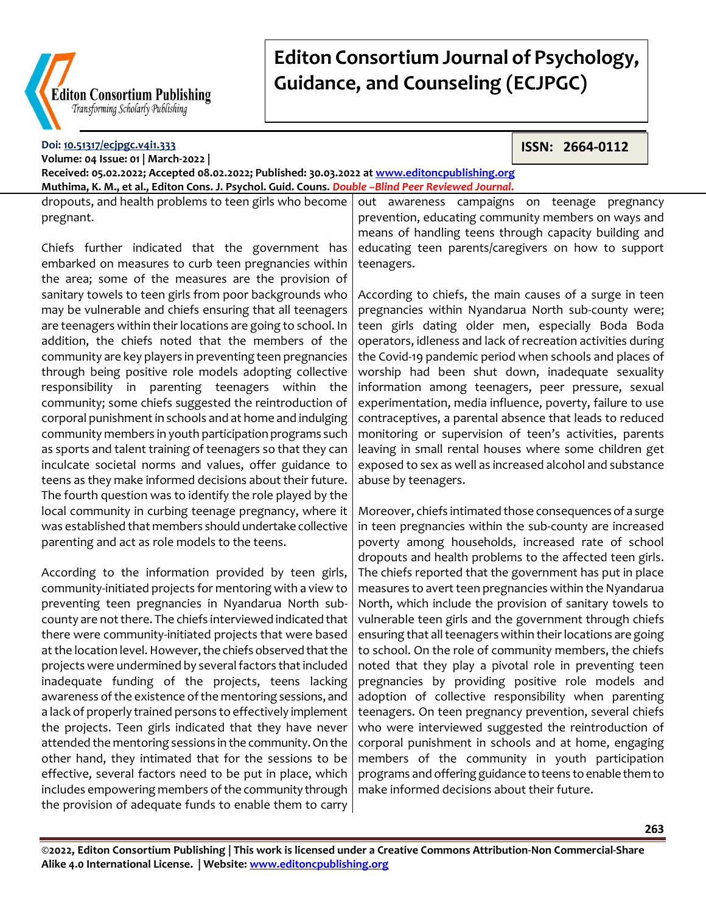

**Doi: [10.51317/ecjpgc.v4i1.333](https://doi.org/10.51317/ecjpgc.v4i1.333)**

# **Editon Consortium Journal of Psychology, Guidance, and Counseling (ECJPGC)**

**ISSN: 2664-0112**

**Volume: 04 Issue: 01 | March-2022 | Received: 05.02.2022; Accepted 08.02.2022; Published: 30.03.2022 at [www.editoncpublishing.org](http://www.editoncpublishing.org/) Muthima, K. M., et al., Editon Cons. J. Psychol. Guid. Couns.** *Double –Blind Peer Reviewed Journal.* dropouts, and health problems to teen girls who become

pregnant.

Chiefs further indicated that the government has embarked on measures to curb teen pregnancies within the area; some of the measures are the provision of sanitary towels to teen girls from poor backgrounds who may be vulnerable and chiefs ensuring that all teenagers are teenagers within their locations are going to school. In addition, the chiefs noted that the members of the community are key players in preventing teen pregnancies through being positive role models adopting collective responsibility in parenting teenagers within the community; some chiefs suggested the reintroduction of corporal punishment in schools and at home and indulging community members in youth participation programs such as sports and talent training of teenagers so that they can inculcate societal norms and values, offer guidance to teens as they make informed decisions about their future. The fourth question was to identify the role played by the local community in curbing teenage pregnancy, where it was established that members should undertake collective parenting and act as role models to the teens.

According to the information provided by teen girls, community-initiated projects for mentoring with a view to preventing teen pregnancies in Nyandarua North subcounty are not there. The chiefs interviewed indicated that there were community-initiated projects that were based at the location level. However, the chiefs observed that the projects were undermined by several factors that included inadequate funding of the projects, teens lacking awareness of the existence of the mentoring sessions, and a lack of properly trained persons to effectively implement the projects. Teen girls indicated that they have never attended the mentoring sessions in the community. On the other hand, they intimated that for the sessions to be effective, several factors need to be put in place, which includes empowering members of the community through the provision of adequate funds to enable them to carry

out awareness campaigns on teenage pregnancy prevention, educating community members on ways and means of handling teens through capacity building and educating teen parents/caregivers on how to support teenagers.

According to chiefs, the main causes of a surge in teen pregnancies within Nyandarua North sub-county were; teen girls dating older men, especially Boda Boda operators, idleness and lack of recreation activities during the Covid-19 pandemic period when schools and places of worship had been shut down, inadequate sexuality information among teenagers, peer pressure, sexual experimentation, media influence, poverty, failure to use contraceptives, a parental absence that leads to reduced monitoring or supervision of teen's activities, parents leaving in small rental houses where some children get exposed to sex as well as increased alcohol and substance abuse by teenagers.

Moreover, chiefs intimated those consequences of a surge in teen pregnancies within the sub-county are increased poverty among households, increased rate of school dropouts and health problems to the affected teen girls. The chiefs reported that the government has put in place measures to avert teen pregnancies within the Nyandarua North, which include the provision of sanitary towels to vulnerable teen girls and the government through chiefs ensuring that all teenagers within their locations are going to school. On the role of community members, the chiefs noted that they play a pivotal role in preventing teen pregnancies by providing positive role models and adoption of collective responsibility when parenting teenagers. On teen pregnancy prevention, several chiefs who were interviewed suggested the reintroduction of corporal punishment in schools and at home, engaging members of the community in youth participation programs and offering guidance to teens to enable them to make informed decisions about their future.

**©2022, Editon Consortium Publishing | This work is licensed under a Creative Commons Attribution-Non Commercial-Share Alike 4.0 International License. | Website[: www.editoncpublishing.org](http://www.editoncpublishing.org/)**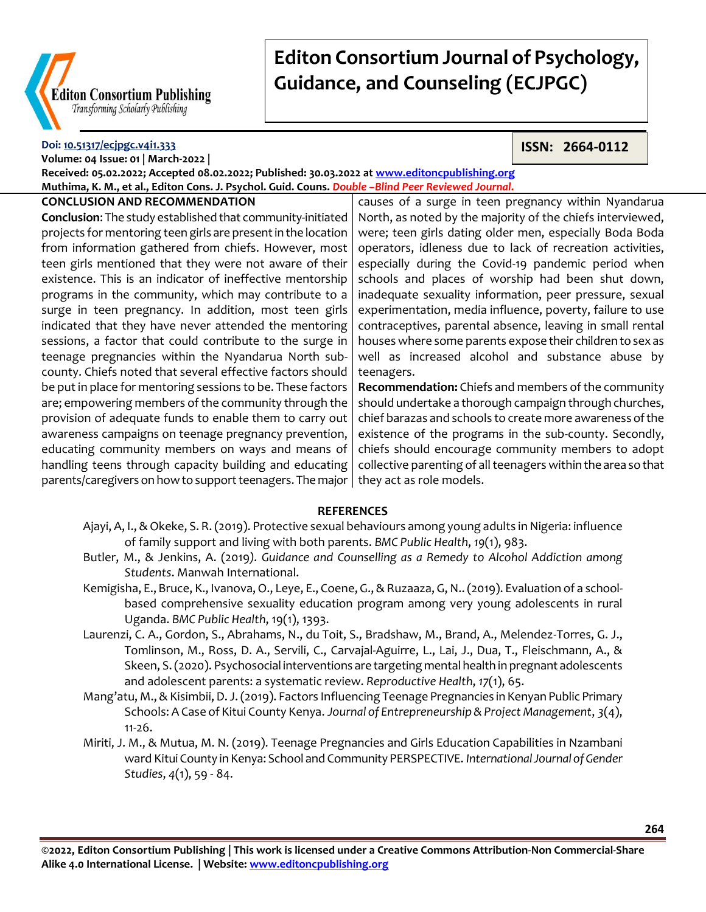

#### **Doi: [10.51317/ecjpgc.v4i1.333](https://doi.org/10.51317/ecjpgc.v4i1.333) Volume: 04 Issue: 01 | March-2022 |**

**ISSN: 2664-0112**

**Received: 05.02.2022; Accepted 08.02.2022; Published: 30.03.2022 at [www.editoncpublishing.org](http://www.editoncpublishing.org/) Muthima, K. M., et al., Editon Cons. J. Psychol. Guid. Couns.** *Double –Blind Peer Reviewed Journal.*

### **CONCLUSION AND RECOMMENDATION**

**Conclusion**: The study established that community-initiated projects for mentoring teen girls are present in the location from information gathered from chiefs. However, most teen girls mentioned that they were not aware of their existence. This is an indicator of ineffective mentorship programs in the community, which may contribute to a surge in teen pregnancy. In addition, most teen girls indicated that they have never attended the mentoring sessions, a factor that could contribute to the surge in teenage pregnancies within the Nyandarua North subcounty. Chiefs noted that several effective factors should be put in place for mentoring sessions to be. These factors are; empowering members of the community through the provision of adequate funds to enable them to carry out awareness campaigns on teenage pregnancy prevention, educating community members on ways and means of handling teens through capacity building and educating parents/caregivers on how to support teenagers. The major  $\mid$  they act as role models.

causes of a surge in teen pregnancy within Nyandarua North, as noted by the majority of the chiefs interviewed, were; teen girls dating older men, especially Boda Boda operators, idleness due to lack of recreation activities, especially during the Covid-19 pandemic period when schools and places of worship had been shut down, inadequate sexuality information, peer pressure, sexual experimentation, media influence, poverty, failure to use contraceptives, parental absence, leaving in small rental houses where some parents expose their children to sex as well as increased alcohol and substance abuse by teenagers.

**Recommendation:** Chiefs and members of the community should undertake a thorough campaign through churches, chief barazas and schools to create more awareness of the existence of the programs in the sub-county. Secondly, chiefs should encourage community members to adopt collective parenting of all teenagers within the area so that

### **REFERENCES**

- Ajayi, A, I., & Okeke, S. R. (2019). Protective sexual behaviours among young adults in Nigeria: influence of family support and living with both parents. *BMC Public Health*, *19*(1), 983.
- Butler, M., & Jenkins, A. (2019*). Guidance and Counselling as a Remedy to Alcohol Addiction among Students*. Manwah International.
- Kemigisha, E., Bruce, K., Ivanova, O., Leye, E., Coene, G., & Ruzaaza, G, N.. (2019). Evaluation of a schoolbased comprehensive sexuality education program among very young adolescents in rural Uganda. *BMC Public Health*, 19(1), 1393.
- Laurenzi, C. A., Gordon, S., Abrahams, N., du Toit, S., Bradshaw, M., Brand, A., Melendez-Torres, G. J., Tomlinson, M., Ross, D. A., Servili, C., Carvajal-Aguirre, L., Lai, J., Dua, T., Fleischmann, A., & Skeen, S. (2020). Psychosocial interventions are targeting mental health in pregnant adolescents and adolescent parents: a systematic review. *Reproductive Health*, *17*(1), 65.
- Mang'atu, M., & Kisimbii, D. J. (2019). Factors Influencing Teenage Pregnancies in Kenyan Public Primary Schools: A Case of Kitui County Kenya. *Journal of Entrepreneurship & Project Management*, *3*(4), 11-26.
- Miriti, J. M., & Mutua, M. N. (2019). Teenage Pregnancies and Girls Education Capabilities in Nzambani ward Kitui County in Kenya: School and Community PERSPECTIVE. *International Journal of Gender Studies*, *4*(1), 59 - 84.